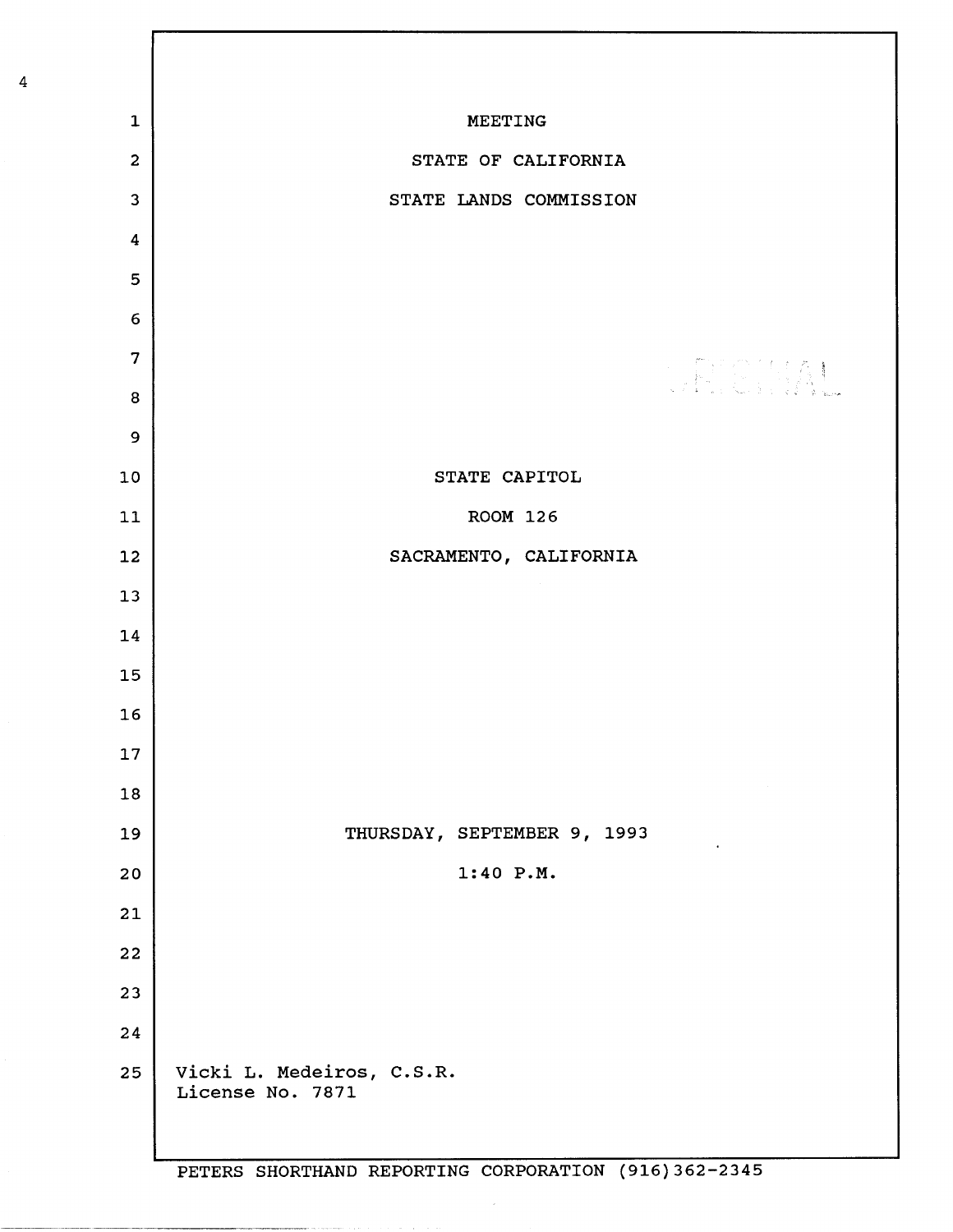| $\mathbf{1}$            | <b>MEETING</b>                                |
|-------------------------|-----------------------------------------------|
| $\overline{2}$          | STATE OF CALIFORNIA                           |
| 3                       | STATE LANDS COMMISSION                        |
| 4                       |                                               |
| 5                       |                                               |
| $6\,$                   |                                               |
| $\overline{\mathbf{z}}$ | THE RIAL                                      |
| ${\bf 8}$               |                                               |
| 9                       |                                               |
| 10                      | STATE CAPITOL                                 |
| $11\,$                  | <b>ROOM 126</b>                               |
| 12                      | SACRAMENTO, CALIFORNIA                        |
| 13                      |                                               |
| 14                      |                                               |
| 15                      |                                               |
| 16                      |                                               |
| 17                      |                                               |
| 18                      |                                               |
| 19                      | THURSDAY, SEPTEMBER 9, 1993                   |
| 20                      | 1:40 P.M.                                     |
| 21                      |                                               |
| 22                      |                                               |
| 23                      |                                               |
| 24                      |                                               |
| 25                      | Vicki L. Medeiros, C.S.R.<br>License No. 7871 |

 $\sim$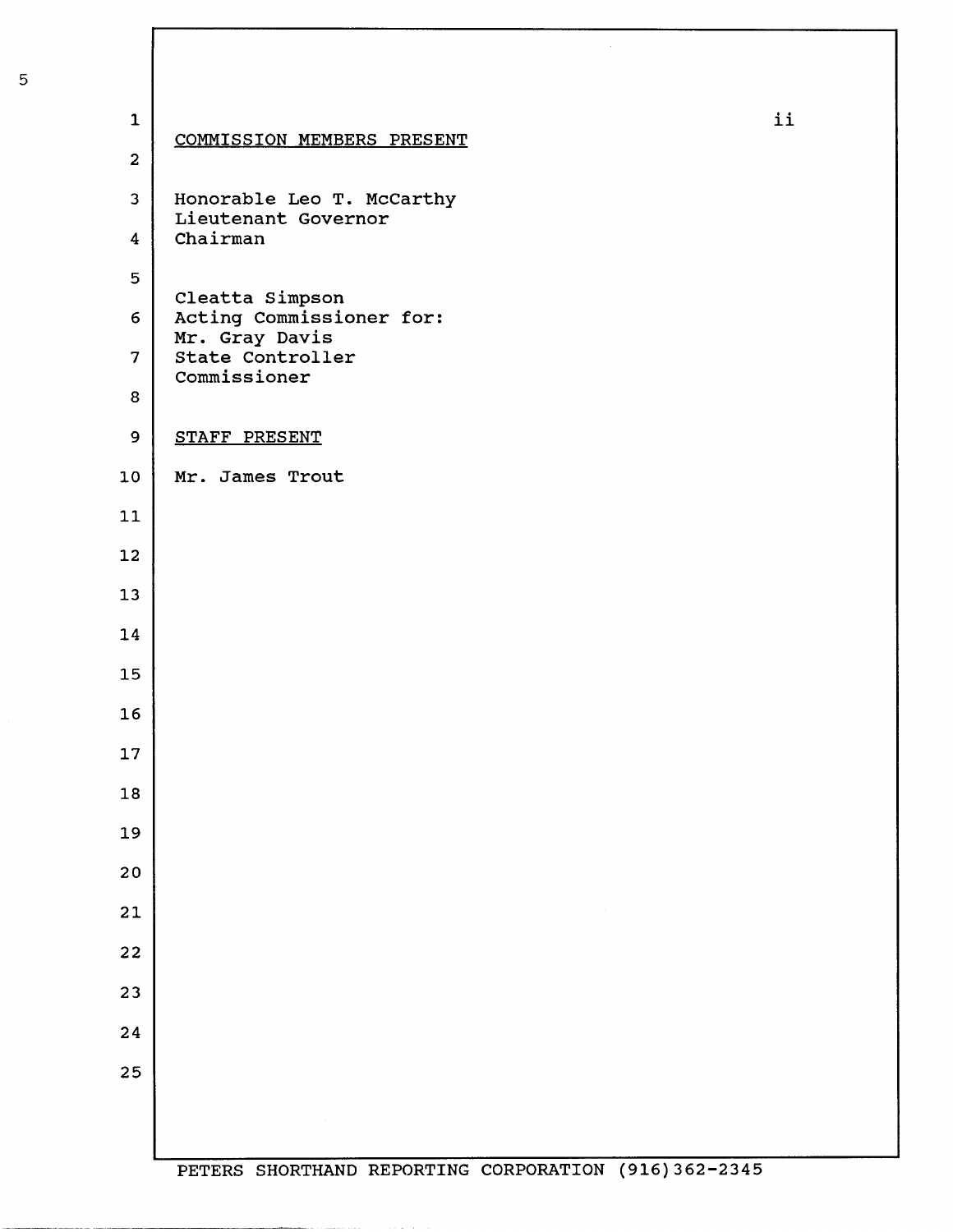| $\mathbf 1$             | COMMISSION MEMBERS PRESENT                       | ii |
|-------------------------|--------------------------------------------------|----|
| $\overline{2}$          |                                                  |    |
| $\overline{\mathbf{3}}$ | Honorable Leo T. McCarthy<br>Lieutenant Governor |    |
| $\overline{\mathbf{4}}$ | Chairman                                         |    |
| 5                       | Cleatta Simpson                                  |    |
| $6 \overline{6}$        | Acting Commissioner for:<br>Mr. Gray Davis       |    |
| $\overline{7}$          | State Controller<br>Commissioner                 |    |
| 8                       |                                                  |    |
| 9                       | STAFF PRESENT                                    |    |
| 10 <sub>1</sub>         | Mr. James Trout                                  |    |
| 11                      |                                                  |    |
| 12                      |                                                  |    |
| 13                      |                                                  |    |
| 14                      |                                                  |    |
| 15                      |                                                  |    |
| 16                      |                                                  |    |
| 17                      |                                                  |    |
| 18                      |                                                  |    |
| 19                      |                                                  |    |
| 20                      |                                                  |    |
| 21                      |                                                  |    |
| 22                      |                                                  |    |
| 23                      |                                                  |    |
| 24                      |                                                  |    |
| 25                      |                                                  |    |
|                         |                                                  |    |
|                         |                                                  |    |

**Company's commentary company of the company of the company of the company of the company of the company of the company of the company of the company of the company of the company of the company of the company of the compa**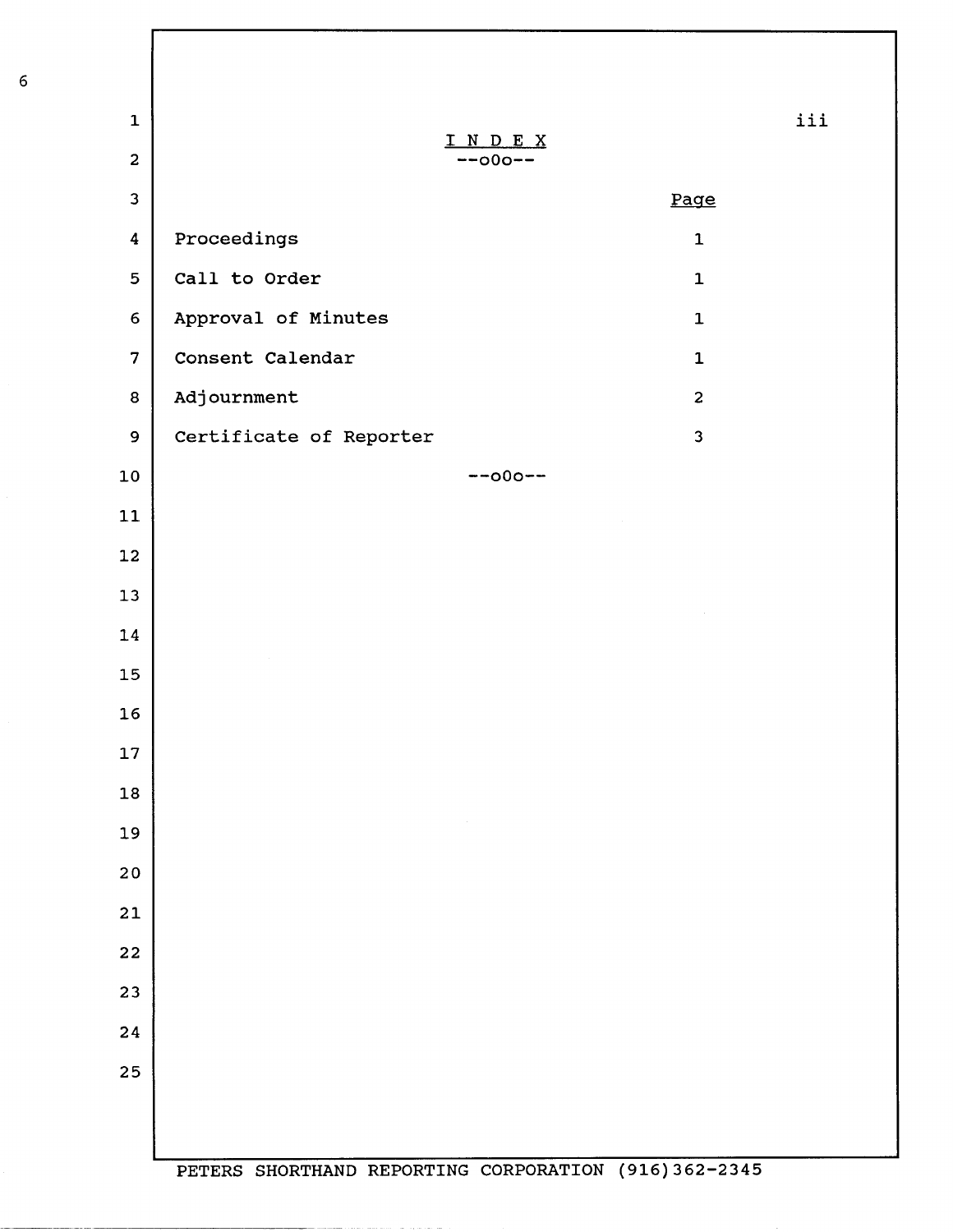| $\mathbf 1$<br>$\overline{2}$ | INDEX<br>$--000--$      | iii                     |
|-------------------------------|-------------------------|-------------------------|
| 3                             |                         | Page                    |
| 4                             | Proceedings             | $\mathbf{1}$            |
| 5                             | Call to Order           | $\mathbf{1}$            |
| 6                             | Approval of Minutes     | $\mathbf 1$             |
| $\overline{7}$                | Consent Calendar        | $\mathbf{1}$            |
| 8                             | Adjournment             | $\overline{c}$          |
| 9                             | Certificate of Reporter | $\overline{\mathbf{3}}$ |
| 10                            | $--000--$               |                         |
| 11                            |                         |                         |
| 12                            |                         |                         |
| 13                            |                         |                         |
| 14                            |                         |                         |
| 15                            |                         |                         |
| 16                            |                         |                         |
| 17                            |                         |                         |
| ${\bf 18}$                    |                         |                         |
| 19                            | $\sim$                  |                         |
| 20                            |                         |                         |
| 21                            |                         |                         |
| 22                            |                         |                         |
| 23                            |                         |                         |
| 24                            |                         |                         |
| 25                            |                         |                         |
|                               |                         |                         |
|                               |                         |                         |

والقارب والمتحدث والماري والمتحدث والمتحدث فستستحدث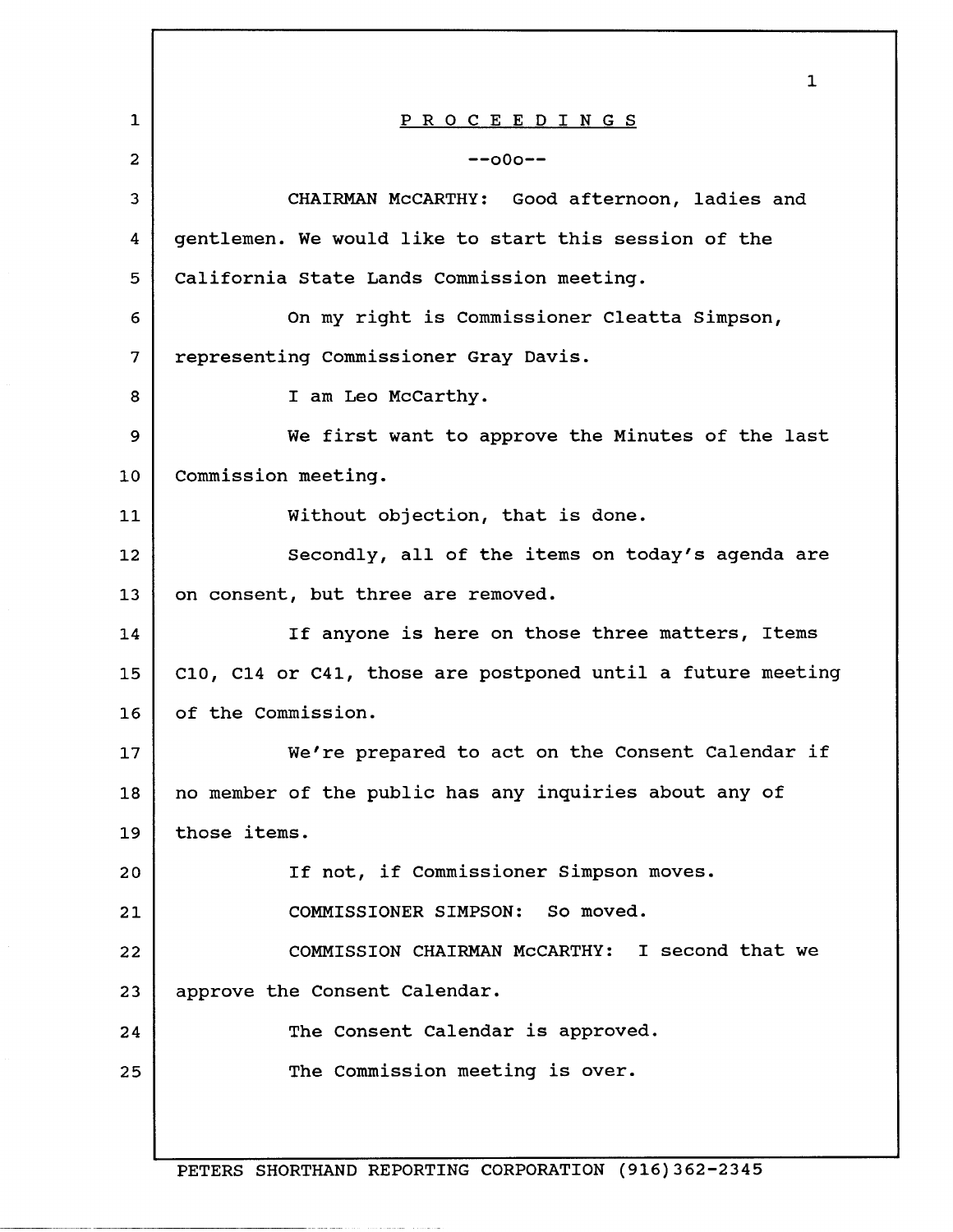|                 | $\mathbf 1$                                                 |  |
|-----------------|-------------------------------------------------------------|--|
| $\mathbf{1}$    | PROCEEDINGS                                                 |  |
| $\overline{2}$  | $-000 - -$                                                  |  |
| 3               | CHAIRMAN McCARTHY: Good afternoon, ladies and               |  |
| 4               | gentlemen. We would like to start this session of the       |  |
| 5               | California State Lands Commission meeting.                  |  |
| 6               | On my right is Commissioner Cleatta Simpson,                |  |
| 7               | representing Commissioner Gray Davis.                       |  |
| 8               | I am Leo McCarthy.                                          |  |
| 9               | We first want to approve the Minutes of the last            |  |
| 10              | Commission meeting.                                         |  |
| 11              | Without objection, that is done.                            |  |
| 12 <sup>2</sup> | Secondly, all of the items on today's agenda are            |  |
| 13              | on consent, but three are removed.                          |  |
| 14              | If anyone is here on those three matters, Items             |  |
| 15              | C10, C14 or C41, those are postponed until a future meeting |  |
| 16              | of the Commission.                                          |  |
| 17              | We're prepared to act on the Consent Calendar if            |  |
| 18              | no member of the public has any inquiries about any of      |  |
| 19              | those items.                                                |  |
| 20              | If not, if Commissioner Simpson moves.                      |  |
| 21              | COMMISSIONER SIMPSON: So moved.                             |  |
| 22              | COMMISSION CHAIRMAN McCARTHY: I second that we              |  |
| 23              | approve the Consent Calendar.                               |  |
| 24              | The Consent Calendar is approved.                           |  |
| 25              | The Commission meeting is over.                             |  |
|                 |                                                             |  |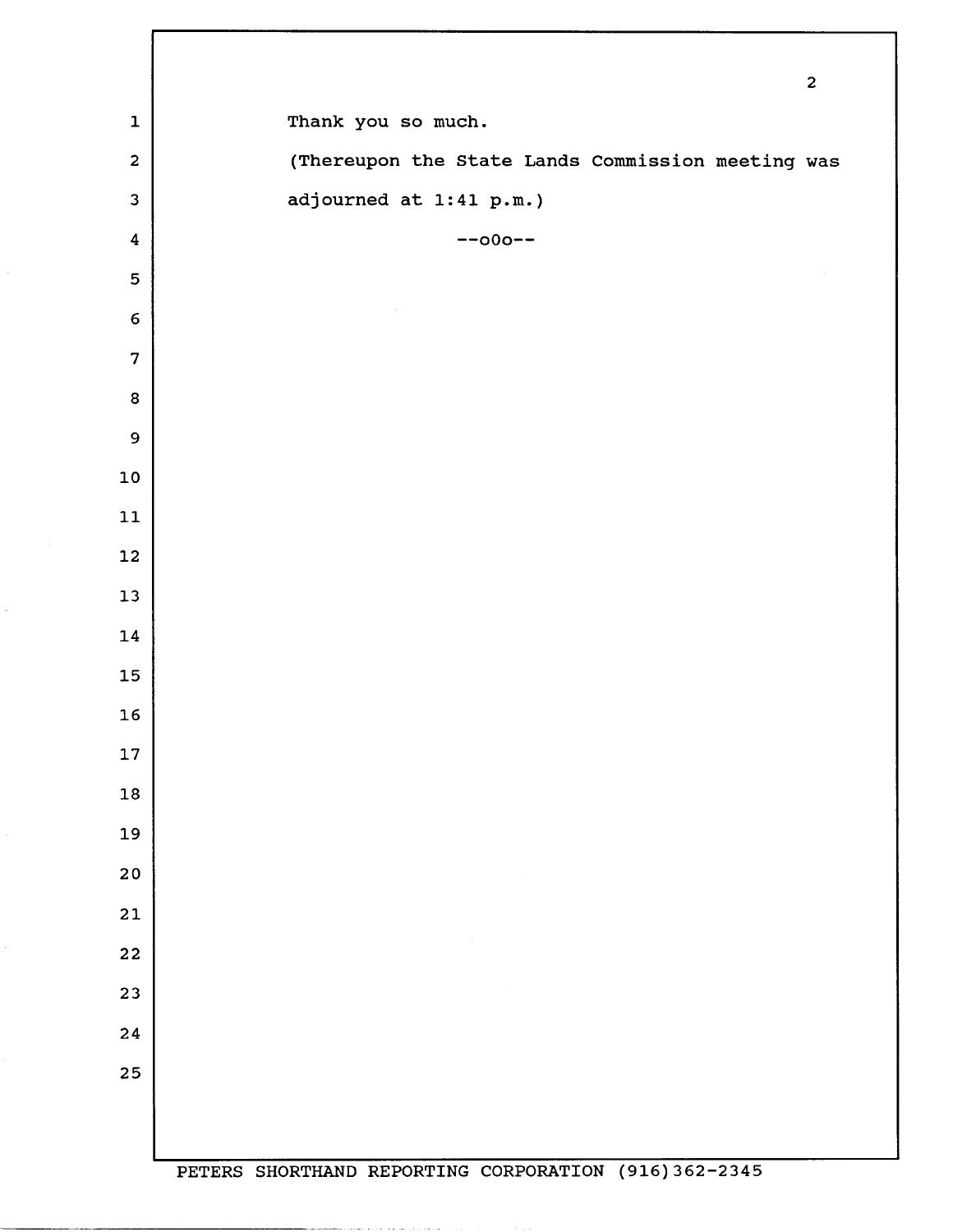|                         |                                                      | $\mathbf 2$ |
|-------------------------|------------------------------------------------------|-------------|
| $\mathbf 1$             | Thank you so much.                                   |             |
| $\mathbf{2}$            | (Thereupon the State Lands Commission meeting was    |             |
| 3                       | adjourned at 1:41 p.m.)                              |             |
| $\overline{\mathbf{4}}$ | $--000--$                                            |             |
| 5                       |                                                      |             |
| $\boldsymbol{6}$        |                                                      |             |
| $\overline{7}$          |                                                      |             |
| 8                       |                                                      |             |
| $\mathbf 9$             |                                                      |             |
| $10$                    |                                                      |             |
| ${\bf 11}$              |                                                      |             |
| 12                      |                                                      |             |
| $13$                    |                                                      |             |
| ${\bf 14}$              |                                                      |             |
| 15                      |                                                      |             |
| 16                      |                                                      |             |
| $17$                    |                                                      |             |
| 18                      |                                                      |             |
| 19                      |                                                      |             |
| 20                      |                                                      |             |
| $21$                    |                                                      |             |
| 22                      |                                                      |             |
| 23                      |                                                      |             |
| 24                      |                                                      |             |
| 25                      |                                                      |             |
|                         |                                                      |             |
|                         | DEMEDS CUODMUAND DEDOPMINS CORRODAMION (016)262-2345 |             |

 $\bar{\omega}$